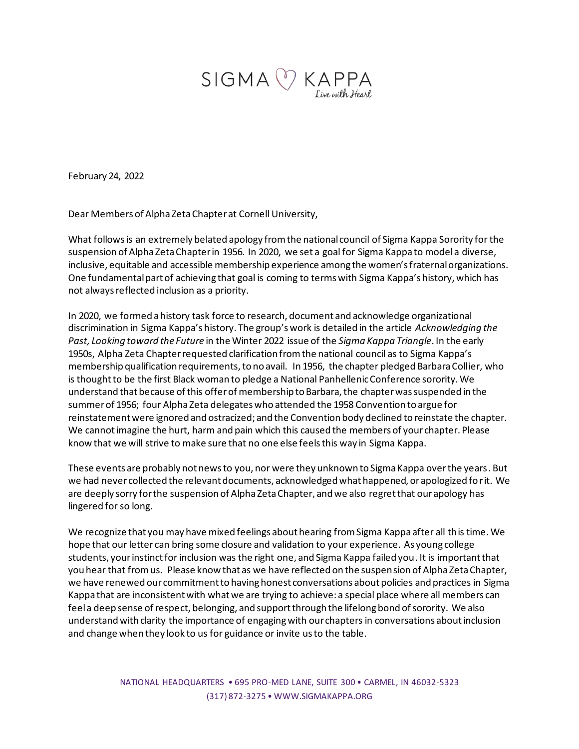

February 24, 2022

Dear Members of Alpha Zeta Chapter at Cornell University,

What follows is an extremely belated apology from the national council of Sigma Kappa Sorority for the suspension of Alpha Zeta Chapter in 1956. In 2020, we set a goal for Sigma Kappa to model a diverse, inclusive, equitable and accessible membership experience among the women's fraternal organizations. One fundamental part of achieving that goal is coming to terms with Sigma Kappa's history, which has not always reflected inclusion as a priority.

In 2020, we formed a history task force to research, document and acknowledge organizational discrimination in Sigma Kappa's history. The group's work is detailed in the article *Acknowledging the Past, Looking toward the Future* in the Winter 2022 issue of the *Sigma Kappa Triangle*. In the early 1950s, Alpha Zeta Chapter requested clarification from the national council as to Sigma Kappa's membership qualification requirements, to no avail. In 1956, the chapter pledged Barbara Collier, who is thought to be the first Black woman to pledge a National Panhellenic Conference sorority. We understand that because of this offer of membership to Barbara, the chapter was suspended in the summer of 1956; four Alpha Zeta delegates who attended the 1958 Convention to argue for reinstatement were ignored and ostracized; and the Convention body declined to reinstate the chapter. We cannot imagine the hurt, harm and pain which this caused the members of your chapter. Please know that we will strive to make sure that no one else feels this way in Sigma Kappa.

These events are probably not news to you, nor were they unknown to Sigma Kappa over the years. But we had never collected the relevant documents, acknowledged what happened, or apologized for it. We are deeply sorry for the suspension of Alpha Zeta Chapter, and we also regret that our apology has lingered for so long.

We recognize that you may have mixed feelings about hearing from Sigma Kappa after all this time. We hope that our letter can bring some closure and validation to your experience. As young college students, your instinct for inclusion was the right one, and Sigma Kappa failed you. It is important that you hear that from us. Please know that as we have reflected on the suspension of Alpha Zeta Chapter, we have renewed our commitment to having honest conversations about policies and practices in Sigma Kappa that are inconsistent with what we are trying to achieve: a special place where all members can feel a deep sense of respect, belonging, and support through the lifelong bond of sorority. We also understand with clarity the importance of engaging with our chapters in conversations about inclusion and change when they look to us for guidance or invite us to the table.